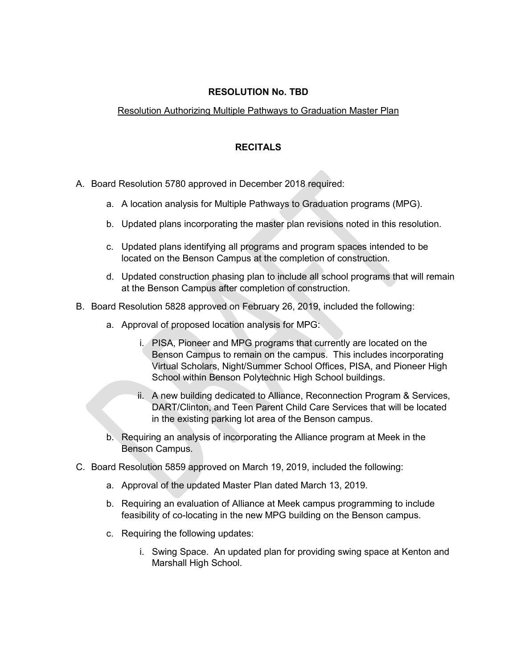## **RESOLUTION No. TBD**

## Resolution Authorizing Multiple Pathways to Graduation Master Plan

## **RECITALS**

- A. Board Resolution 5780 approved in December 2018 required:
	- a. A location analysis for Multiple Pathways to Graduation programs (MPG).
	- b. Updated plans incorporating the master plan revisions noted in this resolution.
	- c. Updated plans identifying all programs and program spaces intended to be located on the Benson Campus at the completion of construction.
	- d. Updated construction phasing plan to include all school programs that will remain at the Benson Campus after completion of construction.
- B. Board Resolution 5828 approved on February 26, 2019, included the following:
	- a. Approval of proposed location analysis for MPG:
		- i. PISA, Pioneer and MPG programs that currently are located on the Benson Campus to remain on the campus. This includes incorporating Virtual Scholars, Night/Summer School Offices, PISA, and Pioneer High School within Benson Polytechnic High School buildings.
		- ii. A new building dedicated to Alliance, Reconnection Program & Services, DART/Clinton, and Teen Parent Child Care Services that will be located in the existing parking lot area of the Benson campus.
	- b. Requiring an analysis of incorporating the Alliance program at Meek in the Benson Campus.
- C. Board Resolution 5859 approved on March 19, 2019, included the following:
	- a. Approval of the updated Master Plan dated March 13, 2019.
	- b. Requiring an evaluation of Alliance at Meek campus programming to include feasibility of co-locating in the new MPG building on the Benson campus.
	- c. Requiring the following updates:
		- i. Swing Space. An updated plan for providing swing space at Kenton and Marshall High School.